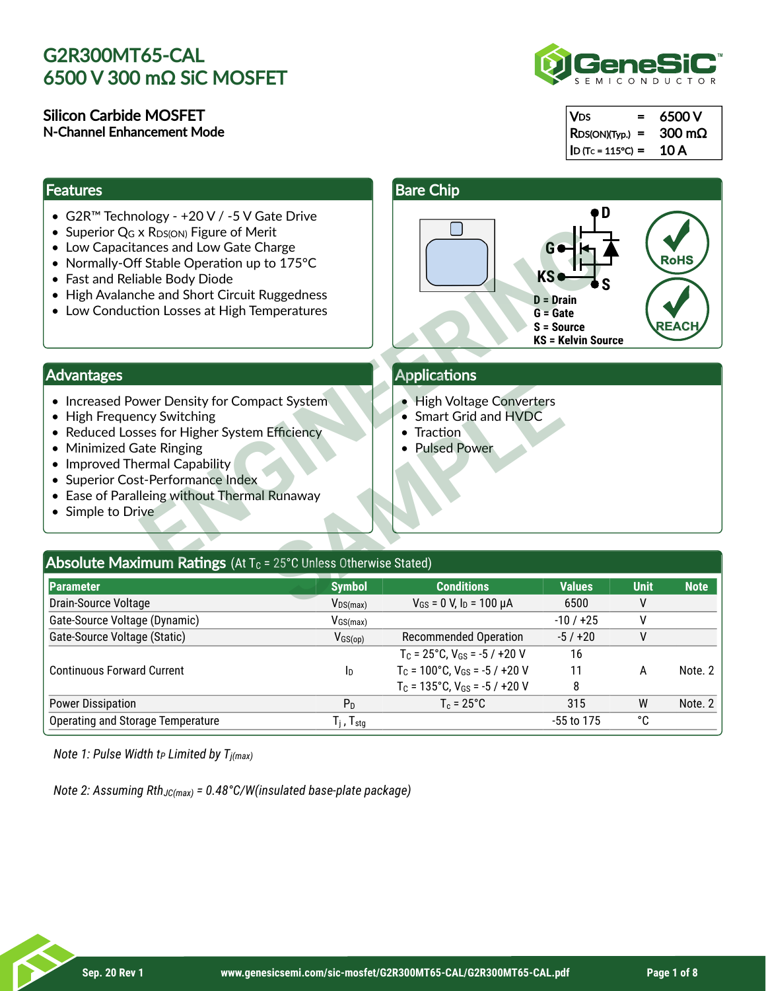#### Silicon Carbide MOSFET N-Channel Enhancement Mode

#### **Features**

- G2R™ Technology +20 V / -5 V Gate Drive
- Superior  $Q_G \times R_{DS(ON)}$  Figure of Merit
- Low Capacitances and Low Gate Charge
- Normally-Off Stable Operation up to 175°C
- Fast and Reliable Body Diode
- High Avalanche and Short Circuit Ruggedness
- Low Conduction Losses at High Temperatures



| $ V_{DS} $<br>$=$    | 6500 V                |
|----------------------|-----------------------|
| $ $ RDS(ON)(Typ.) =  | $300 \text{ m}\Omega$ |
| $ $ D (Tc = 115°C) = | 10 A                  |

#### Bare Chip



### Advantages

- Increased Power Density for Compact System
- High Frequency Switching
- Reduced Losses for Higher System Efficiency
- Minimized Gate Ringing
- Improved Thermal Capability
- Superior Cost-Performance Index
- Ease of Paralleing without Thermal Runaway
- Simple to Drive

### **Applications**

- High Voltage Converters
- Smart Grid and HVDC
- Traction
- Pulsed Power

| Auvanuagus                                                                                                                                                                                                                                                                                                                                                                                                  |                          | Applications                                                   |               |             |             |  |
|-------------------------------------------------------------------------------------------------------------------------------------------------------------------------------------------------------------------------------------------------------------------------------------------------------------------------------------------------------------------------------------------------------------|--------------------------|----------------------------------------------------------------|---------------|-------------|-------------|--|
| <b>High Voltage Converters</b><br>• Increased Power Density for Compact System<br>Smart Grid and HVDC<br>$\bullet$ High Frequency Switching<br>• Reduced Losses for Higher System Efficiency<br>Traction<br><b>Pulsed Power</b><br><b>Minimized Gate Ringing</b><br>• Improved Thermal Capability<br>• Superior Cost-Performance Index<br>• Ease of Paralleing without Thermal Runaway<br>• Simple to Drive |                          |                                                                |               |             |             |  |
| <b>Absolute Maximum Ratings</b> (At $T_c$ = 25°C Unless Otherwise Stated)                                                                                                                                                                                                                                                                                                                                   |                          |                                                                |               |             |             |  |
| Parameter                                                                                                                                                                                                                                                                                                                                                                                                   | <b>Symbol</b>            | <b>Conditions</b>                                              | <b>Values</b> | <b>Unit</b> | <b>Note</b> |  |
| Drain-Source Voltage                                                                                                                                                                                                                                                                                                                                                                                        | $V_{DS(max)}$            | $V_{GS}$ = 0 V, $I_D$ = 100 $\mu$ A                            | 6500          | ۷           |             |  |
| Gate-Source Voltage (Dynamic)                                                                                                                                                                                                                                                                                                                                                                               | $V_{GS(max)}$            |                                                                | $-10/+25$     | ٧           |             |  |
| Gate-Source Voltage (Static)                                                                                                                                                                                                                                                                                                                                                                                | $V_{GS(op)}$             | <b>Recommended Operation</b>                                   | $-5/120$      | ۷           |             |  |
|                                                                                                                                                                                                                                                                                                                                                                                                             |                          | $T_c = 25^{\circ}C$ , $V_{GS} = -5 / +20 V$                    | 16            |             |             |  |
| <b>Continuous Forward Current</b>                                                                                                                                                                                                                                                                                                                                                                           | ID                       | $T_c$ = 100°C, $V_{GS}$ = -5 / +20 V                           | 11            | A           | Note. 2     |  |
|                                                                                                                                                                                                                                                                                                                                                                                                             |                          | T <sub>c</sub> = $135^{\circ}$ C, V <sub>GS</sub> = $-5/+20$ V | 8             |             |             |  |
| <b>Power Dissipation</b>                                                                                                                                                                                                                                                                                                                                                                                    | $P_D$                    | $T_c = 25^{\circ}C$                                            | 315           | W           | Note. 2     |  |
| <b>Operating and Storage Temperature</b>                                                                                                                                                                                                                                                                                                                                                                    | $T_j$ , $T_{\text{stg}}$ |                                                                | -55 to 175    | °C          |             |  |
|                                                                                                                                                                                                                                                                                                                                                                                                             |                          |                                                                |               |             |             |  |

*Note 1: Pulse Width t Limited by T P j(max)*

*Note 2: Assuming Rth<sub>JC(max)</sub> = 0.48°C/W(insulated base-plate package)*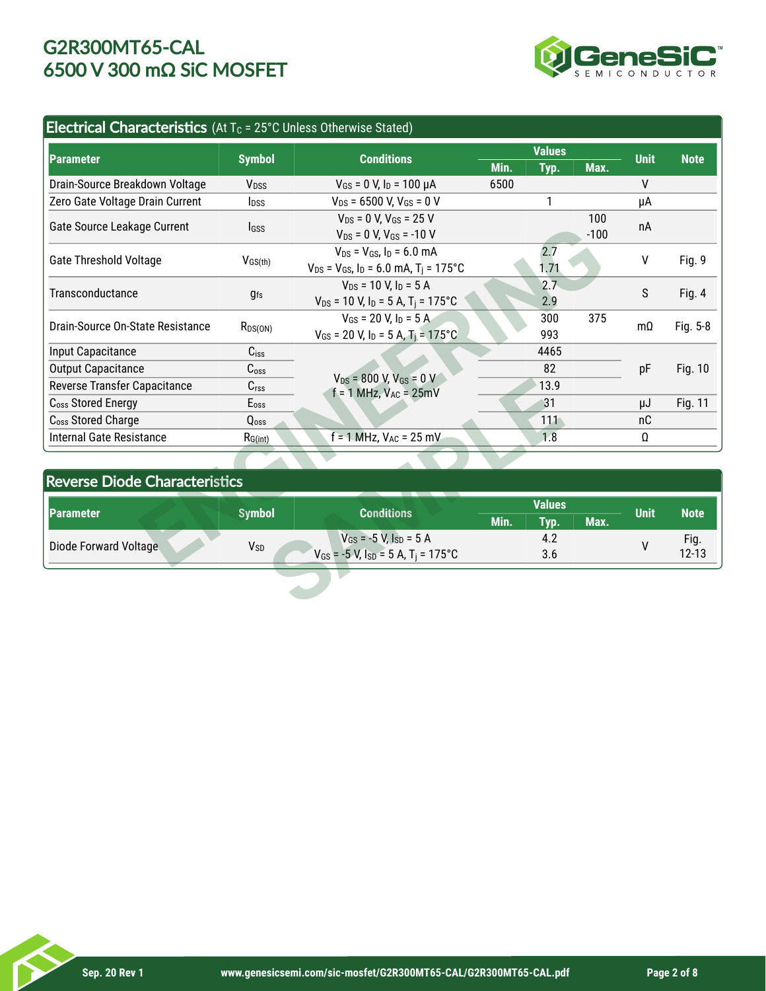

### Electrical Characteristics (At  $T_c$  = 25°C Unless Otherwise Stated)

| <b>Parameter</b>                     | <b>Symbol</b>           | <b>Conditions</b>                                             |               | <b>Values</b> |             | <b>Unit</b> | <b>Note</b>   |
|--------------------------------------|-------------------------|---------------------------------------------------------------|---------------|---------------|-------------|-------------|---------------|
|                                      |                         |                                                               | Min.          | Typ.          | Max.        |             |               |
| Drain-Source Breakdown Voltage       | V <sub>DSS</sub>        | $V_{GS}$ = 0 V, $I_D$ = 100 $\mu$ A                           | 6500          |               |             | V           |               |
| Zero Gate Voltage Drain Current      | <b>l</b> <sub>pss</sub> | $V_{DS}$ = 6500 V, V <sub>GS</sub> = 0 V                      |               | 1             |             | μA          |               |
| Gate Source Leakage Current          |                         | $V_{DS}$ = 0 V, $V_{GS}$ = 25 V                               |               |               | 100         | пA          |               |
|                                      | Igss                    | $V_{DS} = 0 V, V_{GS} = -10 V$                                |               |               | $-100$      |             |               |
| <b>Gate Threshold Voltage</b>        | $V_{GS(th)}$            | $V_{DS} = V_{GS}$ , $I_D = 6.0$ mA                            | 2.7           |               |             | v           |               |
|                                      |                         | $V_{DS}$ = $V_{GS}$ , $I_D$ = 6.0 mA, T <sub>i</sub> = 175°C  |               | 1,71          |             |             | Fig. 9        |
| Transconductance                     | <b>gfs</b>              | $V_{DS}$ = 10 V, $I_D$ = 5 A                                  | 2.7           |               |             | S           | <b>Fig. 4</b> |
|                                      |                         | $V_{DS}$ = 10 V, I <sub>D</sub> = 5 A, T <sub>i</sub> = 175°C |               | 2.9           |             |             |               |
| Drain-Source On-State Resistance     | $R_{DS(ON)}$            | $V_{GS}$ = 20 V. In = 5 A.                                    | 300           |               | 375         | $m\Omega$   | Fig. 5-8      |
|                                      |                         | $V_{GS}$ = 20 V, I <sub>D</sub> = 5 A, T <sub>i</sub> = 175°C |               | 993           |             |             |               |
| Input Capacitance                    | $C$ <sub>iss</sub>      |                                                               |               | 4465          |             |             |               |
| <b>Output Capacitance</b>            | C <sub>oss</sub>        | $V_{DS}$ = 800 V, $V_{GS}$ = 0 V                              |               | 82            | pF          |             | Fig. 10       |
| Reverse Transfer Capacitance         | C <sub>rss</sub>        | $f = 1$ MHz, $V_{AC} = 25$ mV                                 |               | 13.9          |             |             |               |
| C <sub>oss</sub> Stored Energy       | $E_{\rm oss}$           | 31                                                            |               |               |             | μJ          | Fig. 11       |
| C <sub>oss</sub> Stored Charge       | Qoss                    |                                                               | 111           |               |             | nC          |               |
| <b>Internal Gate Resistance</b>      | $R_{G(int)}$            | $f = 1$ MHz, $V_{AC} = 25$ mV                                 |               | 1.8           |             | Ω           |               |
|                                      |                         |                                                               |               |               |             |             |               |
| <b>Reverse Diode Characteristics</b> |                         |                                                               |               |               |             |             |               |
| <b>Parameter</b>                     | <b>Symbol</b>           | <b>Conditions</b>                                             | <b>Values</b> |               | <b>Unit</b> | <b>Note</b> |               |
|                                      |                         |                                                               | Min.          | Typ.          | Max.        |             |               |
| Diode Forward Voltage                | V <sub>SD</sub>         | $V_{GS}$ = -5 V, $I_{SD}$ = 5 A                               | 4.2           |               |             | Fig.<br>V   |               |
|                                      |                         | $V_{GS}$ = -5 V, $I_{SD}$ = 5 A, T <sub>i</sub> = 175°C       | 3.6           |               |             |             | $12 - 13$     |

### Reverse Diode Characteristics

| Diode Forward Voltage                | <b>V</b> sp      | $V_{GS}$ = -5 V, $I_{SD}$ = 5 A<br>$V_{GS}$ = -5 V, $I_{SD}$ = 5 A, T <sub>i</sub> = 175°C |               | 4.2<br>3.6 |      | ۷           | Fig.<br>$12 - 13$ |
|--------------------------------------|------------------|--------------------------------------------------------------------------------------------|---------------|------------|------|-------------|-------------------|
|                                      |                  |                                                                                            |               |            |      |             |                   |
|                                      |                  |                                                                                            |               |            |      |             |                   |
| <b> Parameter</b>                    | <b>Symbol</b>    | <b>Conditions</b>                                                                          | Min.          | Typ.       | Max. | <b>Unit</b> | <b>Note</b>       |
|                                      |                  |                                                                                            | <b>Values</b> |            |      |             |                   |
| <b>Reverse Diode Characteristics</b> |                  |                                                                                            |               |            |      |             |                   |
|                                      |                  |                                                                                            |               |            |      |             |                   |
| <b>Internal Gate Resistance</b>      | $R_{G(int)}$     | $= 1$ MHz, $V_{AC} = 25$ mV                                                                |               | 1.8        |      | Ω           |                   |
| C <sub>oss</sub> Stored Charge       | Q <sub>oss</sub> |                                                                                            |               | 111        |      | nC          |                   |
| C <sub>oss</sub> Stored Energy       | $E_{\rm oss}$    |                                                                                            |               | 31         |      | μJ          | Fig. 11           |
|                                      |                  | $VDS = 800 V, VGS = U V$<br>$f = 1$ MHz, $V_{AC} = 25mV$                                   |               | 13.9       |      |             |                   |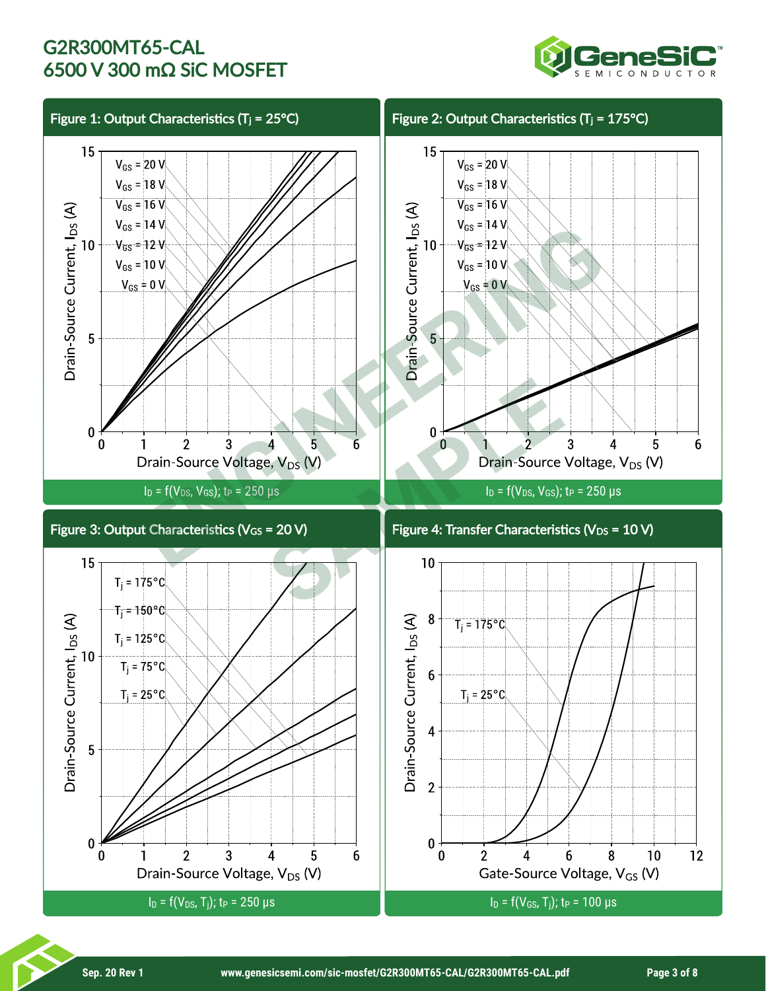

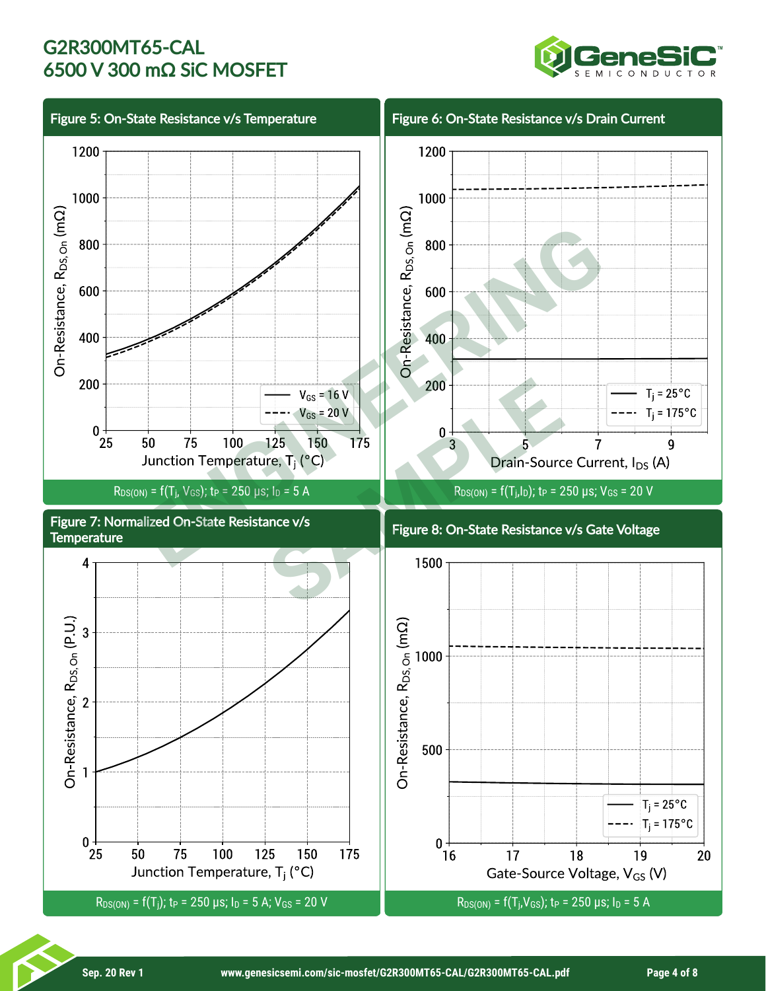

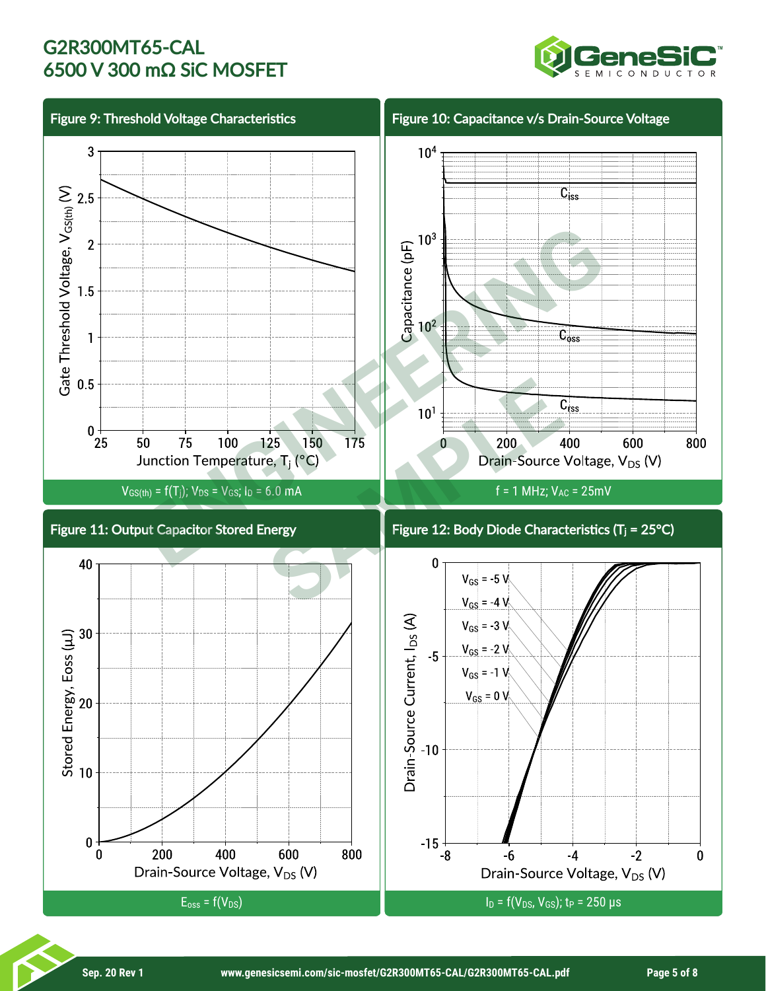

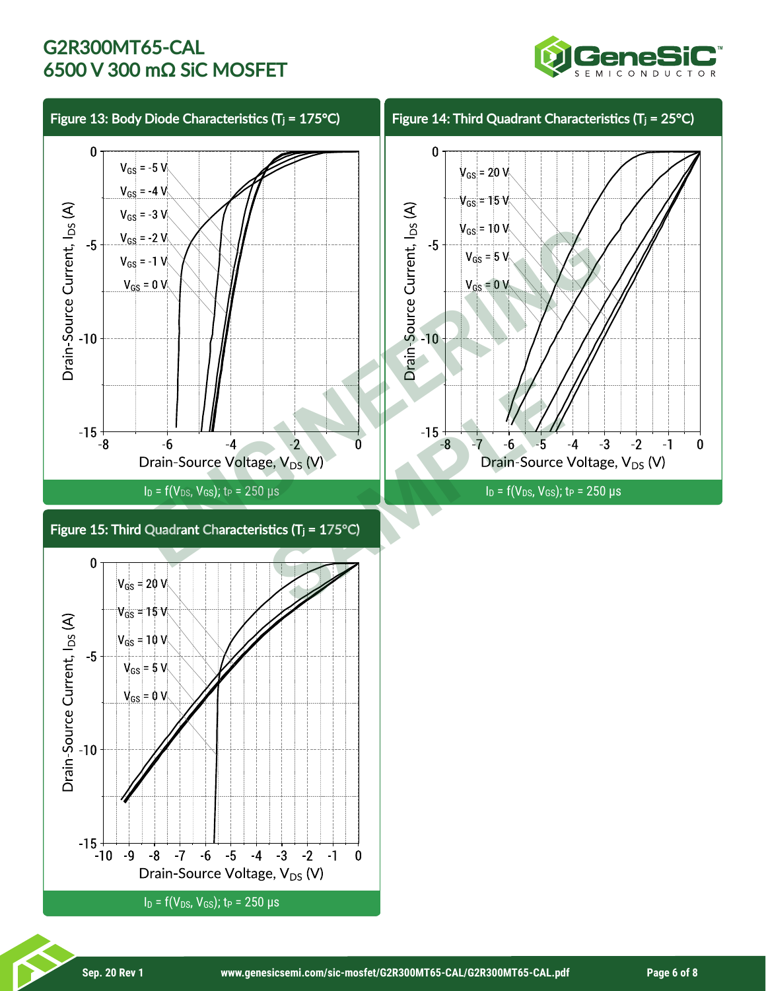

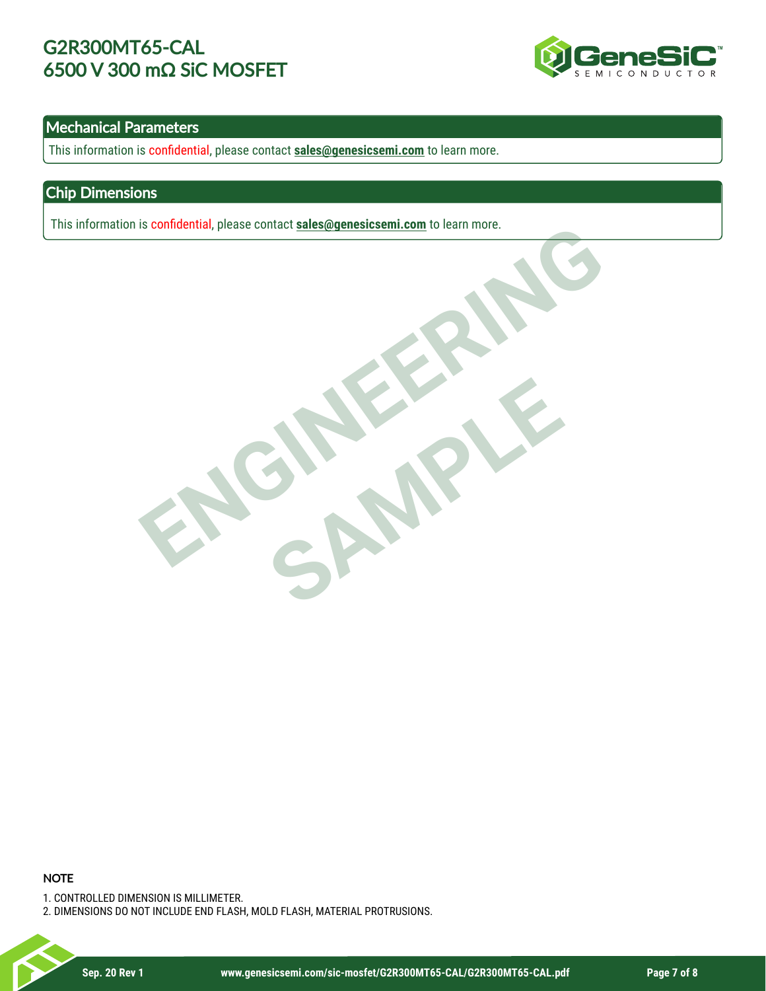

### Mechanical Parameters

This information is confidential, please contact **sales@genesicsemi.com** to learn more.

#### Chip Dimensions

This information is confidential, please contact **sales@genesicsemi.com** to learn more.

ENGINEERING SAMPLE

#### **NOTE**

1. CONTROLLED DIMENSION IS MILLIMETER.

2. DIMENSIONS DO NOT INCLUDE END FLASH, MOLD FLASH, MATERIAL PROTRUSIONS.